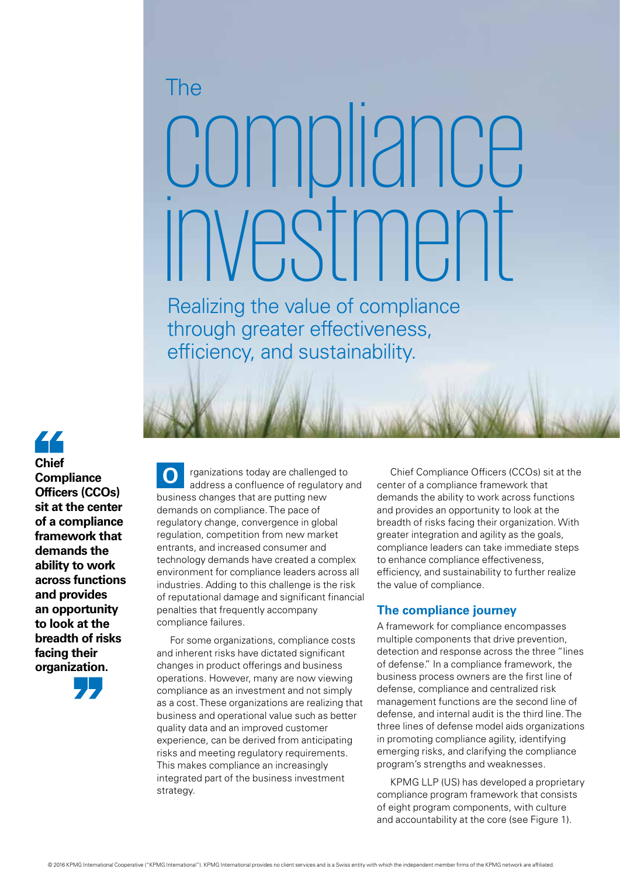# compliance investment The

Realizing the value of compliance through greater effectiveness, efficiency, and sustainability.

44 **Chief Compliance Officers (CCOs) sit at the center of a compliance framework that demands the ability to work across functions and provides an opportunity to look at the breadth of risks facing their organization.**

address a confluence of regulatory and business changes that are putting new demands on compliance. The pace of regulatory change, convergence in global regulation, competition from new market entrants, and increased consumer and technology demands have created a complex environment for compliance leaders across all industries. Adding to this challenge is the risk of reputational damage and significant financial penalties that frequently accompany compliance failures. **O**

rganizations today are challenged to

For some organizations, compliance costs and inherent risks have dictated significant changes in product offerings and business operations. However, many are now viewing compliance as an investment and not simply as a cost. These organizations are realizing that business and operational value such as better quality data and an improved customer experience, can be derived from anticipating risks and meeting regulatory requirements. This makes compliance an increasingly integrated part of the business investment strategy.

Chief Compliance Officers (CCOs) sit at the center of a compliance framework that demands the ability to work across functions and provides an opportunity to look at the breadth of risks facing their organization. With greater integration and agility as the goals, compliance leaders can take immediate steps to enhance compliance effectiveness, efficiency, and sustainability to further realize the value of compliance.

## **The compliance journey**

A framework for compliance encompasses multiple components that drive prevention, detection and response across the three "lines of defense." In a compliance framework, the business process owners are the first line of defense, compliance and centralized risk management functions are the second line of defense, and internal audit is the third line. The three lines of defense model aids organizations in promoting compliance agility, identifying emerging risks, and clarifying the compliance program's strengths and weaknesses.

KPMG LLP (US) has developed a proprietary compliance program framework that consists of eight program components, with culture and accountability at the core (see Figure 1).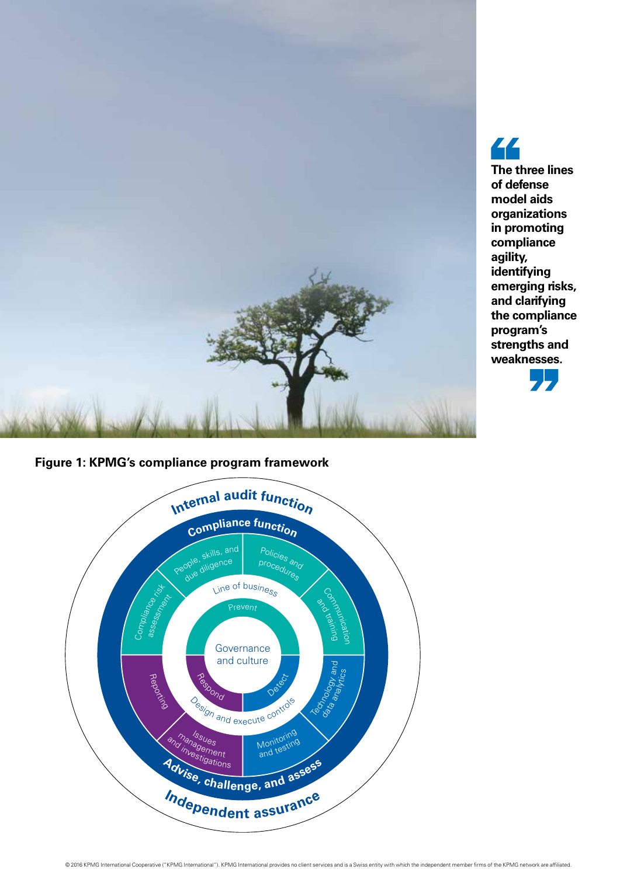





44 **The three lines of defense model aids organizations in promoting compliance agility, identifying emerging risks, and clarifying the compliance program's strengths and weaknesses.**

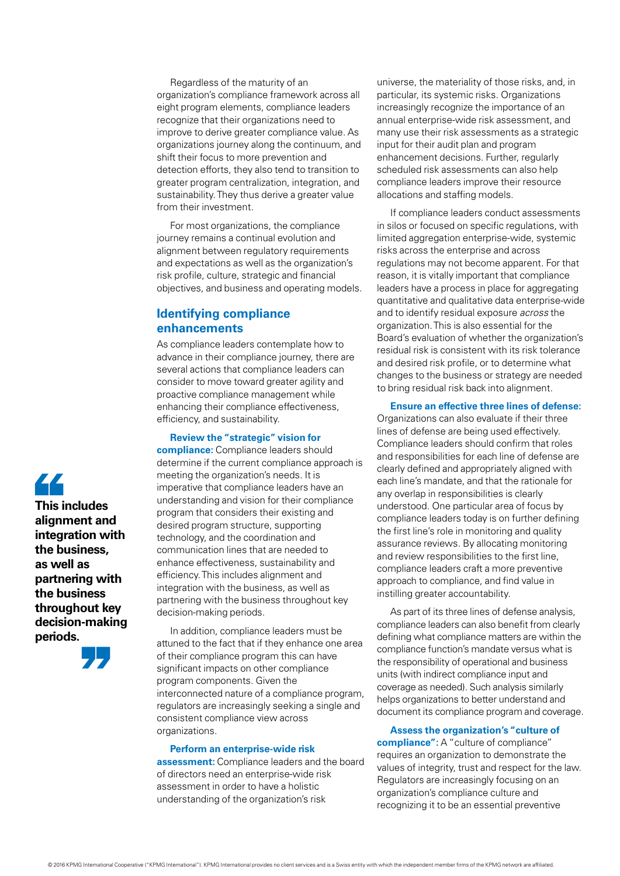Regardless of the maturity of an organization's compliance framework across all eight program elements, compliance leaders recognize that their organizations need to improve to derive greater compliance value. As organizations journey along the continuum, and shift their focus to more prevention and detection efforts, they also tend to transition to greater program centralization, integration, and sustainability. They thus derive a greater value from their investment.

For most organizations, the compliance journey remains a continual evolution and alignment between regulatory requirements and expectations as well as the organization's risk profile, culture, strategic and financial objectives, and business and operating models.

# **Identifying compliance enhancements**

As compliance leaders contemplate how to advance in their compliance journey, there are several actions that compliance leaders can consider to move toward greater agility and proactive compliance management while enhancing their compliance effectiveness, efficiency, and sustainability.

### **Review the "strategic" vision for**

**compliance:** Compliance leaders should determine if the current compliance approach is meeting the organization's needs. It is imperative that compliance leaders have an understanding and vision for their compliance program that considers their existing and desired program structure, supporting technology, and the coordination and communication lines that are needed to enhance effectiveness, sustainability and efficiency. This includes alignment and integration with the business, as well as partnering with the business throughout key decision-making periods.

In addition, compliance leaders must be attuned to the fact that if they enhance one area of their compliance program this can have significant impacts on other compliance program components. Given the interconnected nature of a compliance program, regulators are increasingly seeking a single and consistent compliance view across organizations.

#### **Perform an enterprise-wide risk**

**assessment:** Compliance leaders and the board of directors need an enterprise-wide risk assessment in order to have a holistic understanding of the organization's risk

universe, the materiality of those risks, and, in particular, its systemic risks. Organizations increasingly recognize the importance of an annual enterprise-wide risk assessment, and many use their risk assessments as a strategic input for their audit plan and program enhancement decisions. Further, regularly scheduled risk assessments can also help compliance leaders improve their resource allocations and staffing models.

If compliance leaders conduct assessments in silos or focused on specific regulations, with limited aggregation enterprise-wide, systemic risks across the enterprise and across regulations may not become apparent. For that reason, it is vitally important that compliance leaders have a process in place for aggregating quantitative and qualitative data enterprise-wide and to identify residual exposure *across* the organization. This is also essential for the Board's evaluation of whether the organization's residual risk is consistent with its risk tolerance and desired risk profile, or to determine what changes to the business or strategy are needed to bring residual risk back into alignment.

#### **Ensure an effective three lines of defense:**

Organizations can also evaluate if their three lines of defense are being used effectively. Compliance leaders should confirm that roles and responsibilities for each line of defense are clearly defined and appropriately aligned with each line's mandate, and that the rationale for any overlap in responsibilities is clearly understood. One particular area of focus by compliance leaders today is on further defining the first line's role in monitoring and quality assurance reviews. By allocating monitoring and review responsibilities to the first line, compliance leaders craft a more preventive approach to compliance, and find value in instilling greater accountability.

As part of its three lines of defense analysis, compliance leaders can also benefit from clearly defining what compliance matters are within the compliance function's mandate versus what is the responsibility of operational and business units (with indirect compliance input and coverage as needed). Such analysis similarly helps organizations to better understand and document its compliance program and coverage.

**Assess the organization's "culture of compliance":** A "culture of compliance" requires an organization to demonstrate the values of integrity, trust and respect for the law. Regulators are increasingly focusing on an organization's compliance culture and recognizing it to be an essential preventive

44 **This includes alignment and integration with the business, as well as partnering with the business throughout key decision-making periods.**